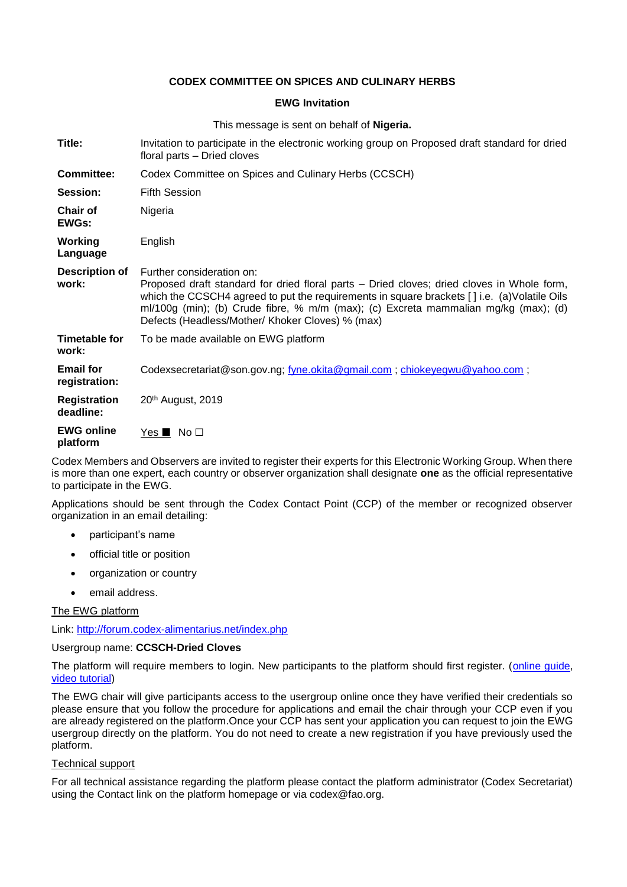## **CODEX COMMITTEE ON SPICES AND CULINARY HERBS**

## **EWG Invitation**

This message is sent on behalf of **Nigeria.**

| Title:                            | Invitation to participate in the electronic working group on Proposed draft standard for dried<br>floral parts - Dried cloves                                                                                                                                                                                                                                                         |
|-----------------------------------|---------------------------------------------------------------------------------------------------------------------------------------------------------------------------------------------------------------------------------------------------------------------------------------------------------------------------------------------------------------------------------------|
| <b>Committee:</b>                 | Codex Committee on Spices and Culinary Herbs (CCSCH)                                                                                                                                                                                                                                                                                                                                  |
| Session:                          | <b>Fifth Session</b>                                                                                                                                                                                                                                                                                                                                                                  |
| <b>Chair of</b><br><b>EWGs:</b>   | Nigeria                                                                                                                                                                                                                                                                                                                                                                               |
| Working<br>Language               | English                                                                                                                                                                                                                                                                                                                                                                               |
| <b>Description of</b><br>work:    | Further consideration on:<br>Proposed draft standard for dried floral parts - Dried cloves; dried cloves in Whole form,<br>which the CCSCH4 agreed to put the requirements in square brackets $\lceil \cdot \rceil$ i.e. (a) Volatile Oils<br>ml/100g (min); (b) Crude fibre, % m/m (max); (c) Excreta mammalian mg/kg (max); (d)<br>Defects (Headless/Mother/ Khoker Cloves) % (max) |
| <b>Timetable for</b><br>work:     | To be made available on EWG platform                                                                                                                                                                                                                                                                                                                                                  |
| <b>Email for</b><br>registration: | Codexsecretariat@son.gov.ng; fyne.okita@gmail.com; chiokeyegwu@yahoo.com;                                                                                                                                                                                                                                                                                                             |
| <b>Registration</b><br>deadline:  | 20 <sup>th</sup> August, 2019                                                                                                                                                                                                                                                                                                                                                         |
| <b>EWG online</b><br>platform     | $Yes \blacksquare No \square$                                                                                                                                                                                                                                                                                                                                                         |

Codex Members and Observers are invited to register their experts for this Electronic Working Group. When there is more than one expert, each country or observer organization shall designate **one** as the official representative to participate in the EWG.

Applications should be sent through the Codex Contact Point (CCP) of the member or recognized observer organization in an email detailing:

- participant's name
- official title or position
- organization or country
- email address.

The EWG platform

Link:<http://forum.codex-alimentarius.net/index.php>

#### Usergroup name: **CCSCH-Dried Cloves**

The platform will require members to login. New participants to the platform should first register. [\(online guide,](http://forum.codex-alimentarius.net/viewtopic.php?f=13&t=11) [video tutorial\)](https://youtu.be/EJn9k7wNSwk)

The EWG chair will give participants access to the usergroup online once they have verified their credentials so please ensure that you follow the procedure for applications and email the chair through your CCP even if you are already registered on the platform.Once your CCP has sent your application you can request to join the EWG usergroup directly on the platform. You do not need to create a new registration if you have previously used the platform.

#### Technical support

For all technical assistance regarding the platform please contact the platform administrator (Codex Secretariat) using the [Contact link](http://forum.codex-alimentarius.net/) on the platform homepage or via codex@fao.org.